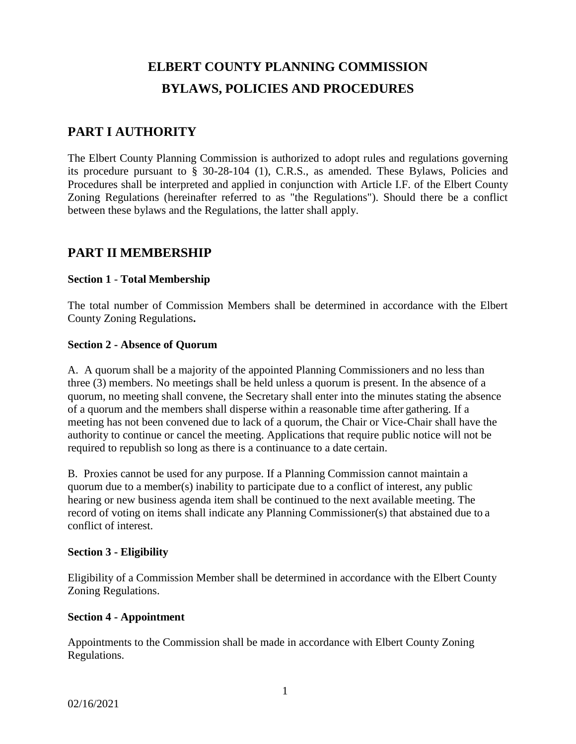# **ELBERT COUNTY PLANNING COMMISSION BYLAWS, POLICIES AND PROCEDURES**

# **PART I AUTHORITY**

The Elbert County Planning Commission is authorized to adopt rules and regulations governing its procedure pursuant to § 30-28-104 (1), C.R.S., as amended. These Bylaws, Policies and Procedures shall be interpreted and applied in conjunction with Article I.F. of the Elbert County Zoning Regulations (hereinafter referred to as "the Regulations"). Should there be a conflict between these bylaws and the Regulations, the latter shall apply.

# **PART II MEMBERSHIP**

# **Section 1** - **Total Membership**

The total number of Commission Members shall be determined in accordance with the Elbert County Zoning Regulations**.**

# **Section 2 - Absence of Quorum**

A. A quorum shall be a majority of the appointed Planning Commissioners and no less than three (3) members. No meetings shall be held unless a quorum is present. In the absence of a quorum, no meeting shall convene, the Secretary shall enter into the minutes stating the absence of a quorum and the members shall disperse within a reasonable time after gathering. If a meeting has not been convened due to lack of a quorum, the Chair or Vice-Chair shall have the authority to continue or cancel the meeting. Applications that require public notice will not be required to republish so long as there is a continuance to a date certain.

B. Proxies cannot be used for any purpose. If a Planning Commission cannot maintain a quorum due to a member(s) inability to participate due to a conflict of interest, any public hearing or new business agenda item shall be continued to the next available meeting. The record of voting on items shall indicate any Planning Commissioner(s) that abstained due to a conflict of interest.

# **Section 3 - Eligibility**

Eligibility of a Commission Member shall be determined in accordance with the Elbert County Zoning Regulations.

# **Section 4 - Appointment**

Appointments to the Commission shall be made in accordance with Elbert County Zoning Regulations.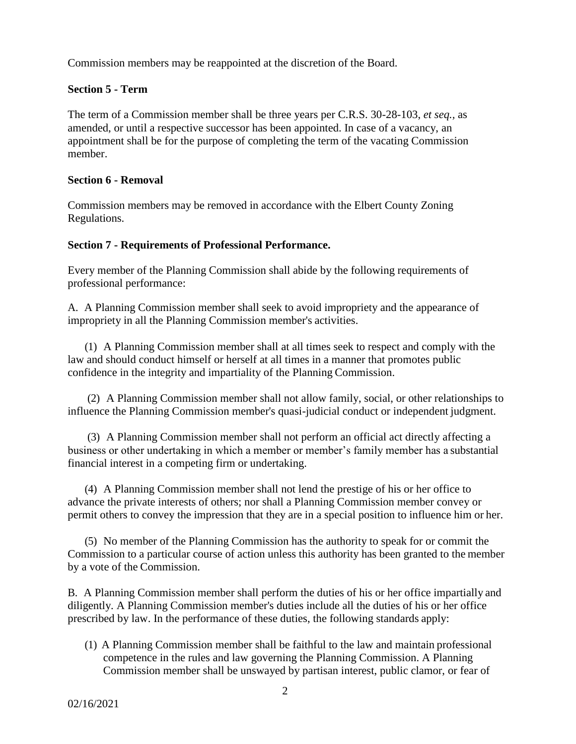Commission members may be reappointed at the discretion of the Board.

# **Section 5 - Term**

The term of a Commission member shall be three years per C.R.S. 30-28-103, *et seq.,* as amended, or until a respective successor has been appointed. In case of a vacancy, an appointment shall be for the purpose of completing the term of the vacating Commission member.

### **Section 6 - Removal**

Commission members may be removed in accordance with the Elbert County Zoning Regulations.

### **Section 7 - Requirements of Professional Performance.**

Every member of the Planning Commission shall abide by the following requirements of professional performance:

A. A Planning Commission member shall seek to avoid impropriety and the appearance of impropriety in all the Planning Commission member's activities.

(1) A Planning Commission member shall at all times seek to respect and comply with the law and should conduct himself or herself at all times in a manner that promotes public confidence in the integrity and impartiality of the Planning Commission.

(2) A Planning Commission member shall not allow family, social, or other relationships to influence the Planning Commission member's quasi-judicial conduct or independent judgment.

(3) A Planning Commission member shall not perform an official act directly affecting a business or other undertaking in which a member or member's family member has a substantial financial interest in a competing firm or undertaking.

(4) A Planning Commission member shall not lend the prestige of his or her office to advance the private interests of others; nor shall a Planning Commission member convey or permit others to convey the impression that they are in a special position to influence him or her.

(5) No member of the Planning Commission has the authority to speak for or commit the Commission to a particular course of action unless this authority has been granted to the member by a vote of the Commission.

B. A Planning Commission member shall perform the duties of his or her office impartially and diligently. A Planning Commission member's duties include all the duties of his or her office prescribed by law. In the performance of these duties, the following standards apply:

(1) A Planning Commission member shall be faithful to the law and maintain professional competence in the rules and law governing the Planning Commission. A Planning Commission member shall be unswayed by partisan interest, public clamor, or fear of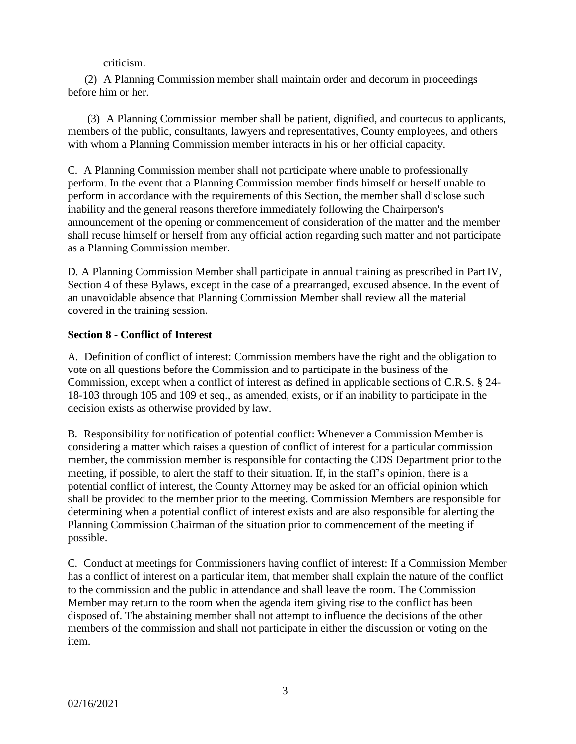criticism.

(2) A Planning Commission member shall maintain order and decorum in proceedings before him or her.

(3) A Planning Commission member shall be patient, dignified, and courteous to applicants, members of the public, consultants, lawyers and representatives, County employees, and others with whom a Planning Commission member interacts in his or her official capacity.

C. A Planning Commission member shall not participate where unable to professionally perform. In the event that a Planning Commission member finds himself or herself unable to perform in accordance with the requirements of this Section, the member shall disclose such inability and the general reasons therefore immediately following the Chairperson's announcement of the opening or commencement of consideration of the matter and the member shall recuse himself or herself from any official action regarding such matter and not participate as a Planning Commission member.

D. A Planning Commission Member shall participate in annual training as prescribed in Part IV, Section 4 of these Bylaws, except in the case of a prearranged, excused absence. In the event of an unavoidable absence that Planning Commission Member shall review all the material covered in the training session.

# **Section 8 - Conflict of Interest**

A. Definition of conflict of interest: Commission members have the right and the obligation to vote on all questions before the Commission and to participate in the business of the Commission, except when a conflict of interest as defined in applicable sections of C.R.S. § 24- 18-103 through 105 and 109 et seq., as amended, exists, or if an inability to participate in the decision exists as otherwise provided by law.

B. Responsibility for notification of potential conflict: Whenever a Commission Member is considering a matter which raises a question of conflict of interest for a particular commission member, the commission member is responsible for contacting the CDS Department prior to the meeting, if possible, to alert the staff to their situation. If, in the staff's opinion, there is a potential conflict of interest, the County Attorney may be asked for an official opinion which shall be provided to the member prior to the meeting. Commission Members are responsible for determining when a potential conflict of interest exists and are also responsible for alerting the Planning Commission Chairman of the situation prior to commencement of the meeting if possible.

C. Conduct at meetings for Commissioners having conflict of interest: If a Commission Member has a conflict of interest on a particular item, that member shall explain the nature of the conflict to the commission and the public in attendance and shall leave the room. The Commission Member may return to the room when the agenda item giving rise to the conflict has been disposed of. The abstaining member shall not attempt to influence the decisions of the other members of the commission and shall not participate in either the discussion or voting on the item.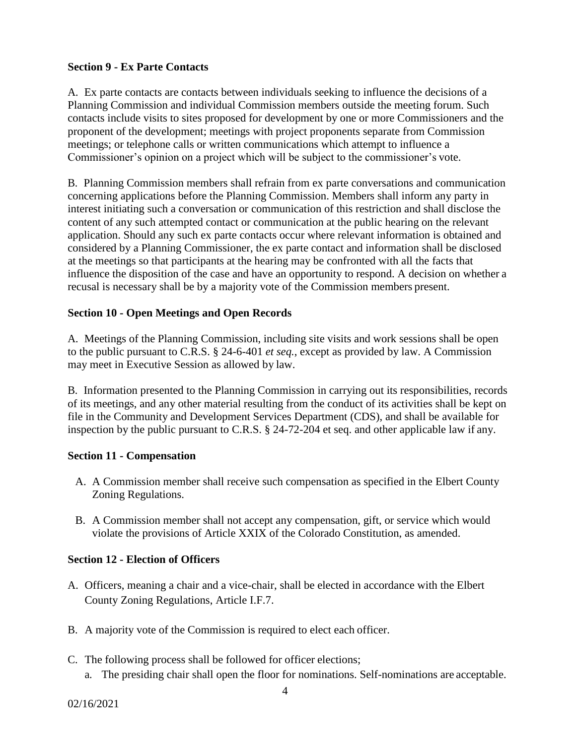# **Section 9 - Ex Parte Contacts**

A. Ex parte contacts are contacts between individuals seeking to influence the decisions of a Planning Commission and individual Commission members outside the meeting forum. Such contacts include visits to sites proposed for development by one or more Commissioners and the proponent of the development; meetings with project proponents separate from Commission meetings; or telephone calls or written communications which attempt to influence a Commissioner's opinion on a project which will be subject to the commissioner's vote.

B. Planning Commission members shall refrain from ex parte conversations and communication concerning applications before the Planning Commission. Members shall inform any party in interest initiating such a conversation or communication of this restriction and shall disclose the content of any such attempted contact or communication at the public hearing on the relevant application. Should any such ex parte contacts occur where relevant information is obtained and considered by a Planning Commissioner, the ex parte contact and information shall be disclosed at the meetings so that participants at the hearing may be confronted with all the facts that influence the disposition of the case and have an opportunity to respond. A decision on whether a recusal is necessary shall be by a majority vote of the Commission members present.

# **Section 10 - Open Meetings and Open Records**

A. Meetings of the Planning Commission, including site visits and work sessions shall be open to the public pursuant to C.R.S. § 24-6-401 *et seq.*, except as provided by law. A Commission may meet in Executive Session as allowed by law.

B. Information presented to the Planning Commission in carrying out its responsibilities, records of its meetings, and any other material resulting from the conduct of its activities shall be kept on file in the Community and Development Services Department (CDS), and shall be available for inspection by the public pursuant to C.R.S. § 24-72-204 et seq. and other applicable law if any.

# **Section 11 - Compensation**

- A. A Commission member shall receive such compensation as specified in the Elbert County Zoning Regulations.
- B. A Commission member shall not accept any compensation, gift, or service which would violate the provisions of Article XXIX of the Colorado Constitution, as amended.

# **Section 12 - Election of Officers**

- A. Officers, meaning a chair and a vice-chair, shall be elected in accordance with the Elbert County Zoning Regulations, Article I.F.7.
- B. A majority vote of the Commission is required to elect each officer.
- C. The following process shall be followed for officer elections;
	- a. The presiding chair shall open the floor for nominations. Self-nominations are acceptable.

02/16/2021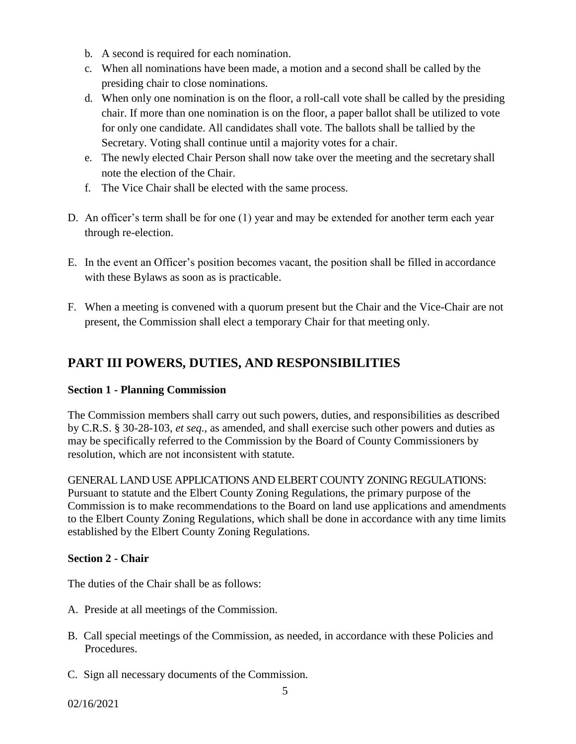- b. A second is required for each nomination.
- c. When all nominations have been made, a motion and a second shall be called by the presiding chair to close nominations.
- d. When only one nomination is on the floor, a roll-call vote shall be called by the presiding chair. If more than one nomination is on the floor, a paper ballot shall be utilized to vote for only one candidate. All candidates shall vote. The ballots shall be tallied by the Secretary. Voting shall continue until a majority votes for a chair.
- e. The newly elected Chair Person shall now take over the meeting and the secretary shall note the election of the Chair.
- f. The Vice Chair shall be elected with the same process.
- D. An officer's term shall be for one (1) year and may be extended for another term each year through re-election.
- E. In the event an Officer's position becomes vacant, the position shall be filled in accordance with these Bylaws as soon as is practicable.
- F. When a meeting is convened with a quorum present but the Chair and the Vice-Chair are not present, the Commission shall elect a temporary Chair for that meeting only.

# **PART III POWERS, DUTIES, AND RESPONSIBILITIES**

# **Section 1 - Planning Commission**

The Commission members shall carry out such powers, duties, and responsibilities as described by C.R.S. § 30-28-103, *et seq.*, as amended, and shall exercise such other powers and duties as may be specifically referred to the Commission by the Board of County Commissioners by resolution, which are not inconsistent with statute.

GENERAL LAND USE APPLICATIONS AND ELBERT COUNTY ZONING REGULATIONS: Pursuant to statute and the Elbert County Zoning Regulations, the primary purpose of the Commission is to make recommendations to the Board on land use applications and amendments to the Elbert County Zoning Regulations, which shall be done in accordance with any time limits established by the Elbert County Zoning Regulations.

# **Section 2 - Chair**

The duties of the Chair shall be as follows:

- A. Preside at all meetings of the Commission.
- B. Call special meetings of the Commission, as needed, in accordance with these Policies and Procedures.
- C. Sign all necessary documents of the Commission.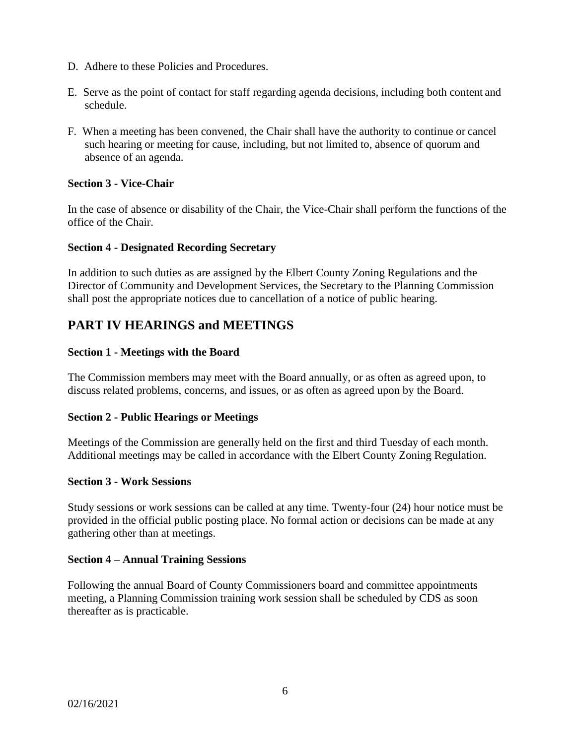- D. Adhere to these Policies and Procedures.
- E. Serve as the point of contact for staff regarding agenda decisions, including both content and schedule.
- F. When a meeting has been convened, the Chair shall have the authority to continue or cancel such hearing or meeting for cause, including, but not limited to, absence of quorum and absence of an agenda.

# **Section 3 - Vice-Chair**

In the case of absence or disability of the Chair, the Vice-Chair shall perform the functions of the office of the Chair.

#### **Section 4 - Designated Recording Secretary**

In addition to such duties as are assigned by the Elbert County Zoning Regulations and the Director of Community and Development Services, the Secretary to the Planning Commission shall post the appropriate notices due to cancellation of a notice of public hearing.

# **PART IV HEARINGS and MEETINGS**

### **Section 1 - Meetings with the Board**

The Commission members may meet with the Board annually, or as often as agreed upon, to discuss related problems, concerns, and issues, or as often as agreed upon by the Board.

#### **Section 2 - Public Hearings or Meetings**

Meetings of the Commission are generally held on the first and third Tuesday of each month. Additional meetings may be called in accordance with the Elbert County Zoning Regulation.

#### **Section 3 - Work Sessions**

Study sessions or work sessions can be called at any time. Twenty-four (24) hour notice must be provided in the official public posting place. No formal action or decisions can be made at any gathering other than at meetings.

#### **Section 4 – Annual Training Sessions**

Following the annual Board of County Commissioners board and committee appointments meeting, a Planning Commission training work session shall be scheduled by CDS as soon thereafter as is practicable.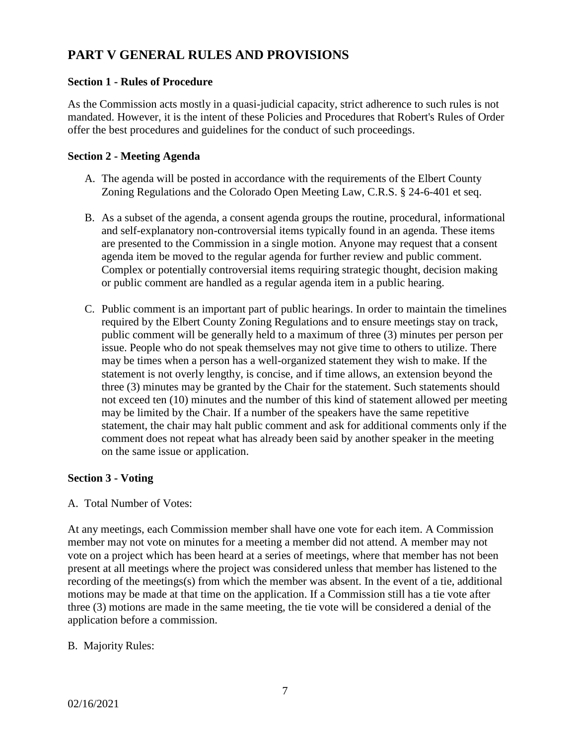# **PART V GENERAL RULES AND PROVISIONS**

# **Section 1 - Rules of Procedure**

As the Commission acts mostly in a quasi-judicial capacity, strict adherence to such rules is not mandated. However, it is the intent of these Policies and Procedures that Robert's Rules of Order offer the best procedures and guidelines for the conduct of such proceedings.

# **Section 2 - Meeting Agenda**

- A. The agenda will be posted in accordance with the requirements of the Elbert County Zoning Regulations and the Colorado Open Meeting Law, C.R.S. § 24-6-401 et seq.
- B. As a subset of the agenda, a consent agenda groups the routine, procedural, informational and self-explanatory non-controversial items typically found in an agenda. These items are presented to the Commission in a single motion. Anyone may request that a consent agenda item be moved to the regular agenda for further review and public comment. Complex or potentially controversial items requiring strategic thought, decision making or public comment are handled as a regular agenda item in a public hearing.
- C. Public comment is an important part of public hearings. In order to maintain the timelines required by the Elbert County Zoning Regulations and to ensure meetings stay on track, public comment will be generally held to a maximum of three (3) minutes per person per issue. People who do not speak themselves may not give time to others to utilize. There may be times when a person has a well-organized statement they wish to make. If the statement is not overly lengthy, is concise, and if time allows, an extension beyond the three (3) minutes may be granted by the Chair for the statement. Such statements should not exceed ten (10) minutes and the number of this kind of statement allowed per meeting may be limited by the Chair. If a number of the speakers have the same repetitive statement, the chair may halt public comment and ask for additional comments only if the comment does not repeat what has already been said by another speaker in the meeting on the same issue or application.

# **Section 3 - Voting**

# A. Total Number of Votes:

At any meetings, each Commission member shall have one vote for each item. A Commission member may not vote on minutes for a meeting a member did not attend. A member may not vote on a project which has been heard at a series of meetings, where that member has not been present at all meetings where the project was considered unless that member has listened to the recording of the meetings(s) from which the member was absent. In the event of a tie, additional motions may be made at that time on the application. If a Commission still has a tie vote after three (3) motions are made in the same meeting, the tie vote will be considered a denial of the application before a commission.

B. Majority Rules: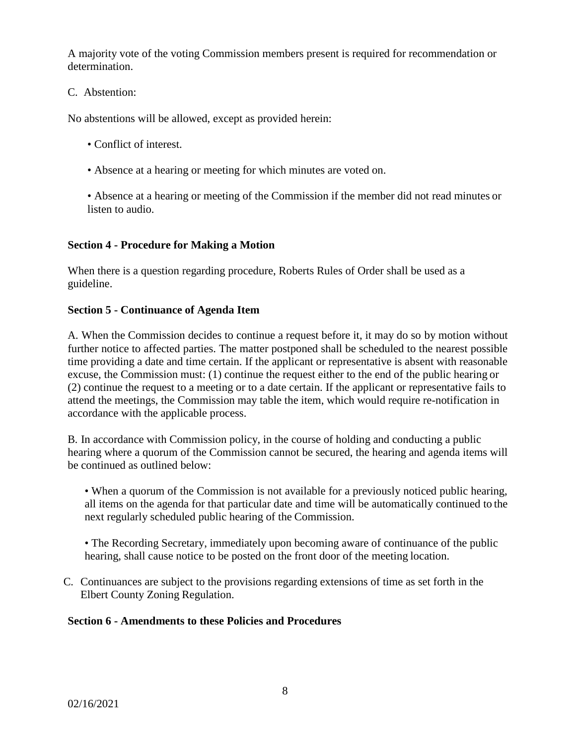A majority vote of the voting Commission members present is required for recommendation or determination.

# C. Abstention:

No abstentions will be allowed, except as provided herein:

- Conflict of interest.
- Absence at a hearing or meeting for which minutes are voted on.
- Absence at a hearing or meeting of the Commission if the member did not read minutes or listen to audio.

# **Section 4 - Procedure for Making a Motion**

When there is a question regarding procedure, Roberts Rules of Order shall be used as a guideline.

# **Section 5 - Continuance of Agenda Item**

A. When the Commission decides to continue a request before it, it may do so by motion without further notice to affected parties. The matter postponed shall be scheduled to the nearest possible time providing a date and time certain. If the applicant or representative is absent with reasonable excuse, the Commission must: (1) continue the request either to the end of the public hearing or (2) continue the request to a meeting or to a date certain. If the applicant or representative fails to attend the meetings, the Commission may table the item, which would require re-notification in accordance with the applicable process.

B. In accordance with Commission policy, in the course of holding and conducting a public hearing where a quorum of the Commission cannot be secured, the hearing and agenda items will be continued as outlined below:

• When a quorum of the Commission is not available for a previously noticed public hearing, all items on the agenda for that particular date and time will be automatically continued to the next regularly scheduled public hearing of the Commission.

• The Recording Secretary, immediately upon becoming aware of continuance of the public hearing, shall cause notice to be posted on the front door of the meeting location.

C. Continuances are subject to the provisions regarding extensions of time as set forth in the Elbert County Zoning Regulation.

# **Section 6 - Amendments to these Policies and Procedures**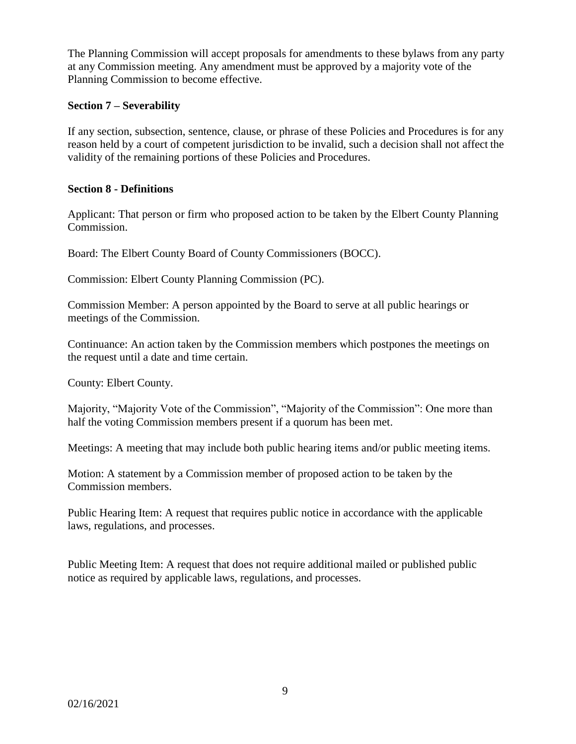The Planning Commission will accept proposals for amendments to these bylaws from any party at any Commission meeting. Any amendment must be approved by a majority vote of the Planning Commission to become effective.

# **Section 7 – Severability**

If any section, subsection, sentence, clause, or phrase of these Policies and Procedures is for any reason held by a court of competent jurisdiction to be invalid, such a decision shall not affect the validity of the remaining portions of these Policies and Procedures.

# **Section 8 - Definitions**

Applicant: That person or firm who proposed action to be taken by the Elbert County Planning Commission.

Board: The Elbert County Board of County Commissioners (BOCC).

Commission: Elbert County Planning Commission (PC).

Commission Member: A person appointed by the Board to serve at all public hearings or meetings of the Commission.

Continuance: An action taken by the Commission members which postpones the meetings on the request until a date and time certain.

County: Elbert County.

Majority, "Majority Vote of the Commission", "Majority of the Commission": One more than half the voting Commission members present if a quorum has been met.

Meetings: A meeting that may include both public hearing items and/or public meeting items.

Motion: A statement by a Commission member of proposed action to be taken by the Commission members.

Public Hearing Item: A request that requires public notice in accordance with the applicable laws, regulations, and processes.

Public Meeting Item: A request that does not require additional mailed or published public notice as required by applicable laws, regulations, and processes.